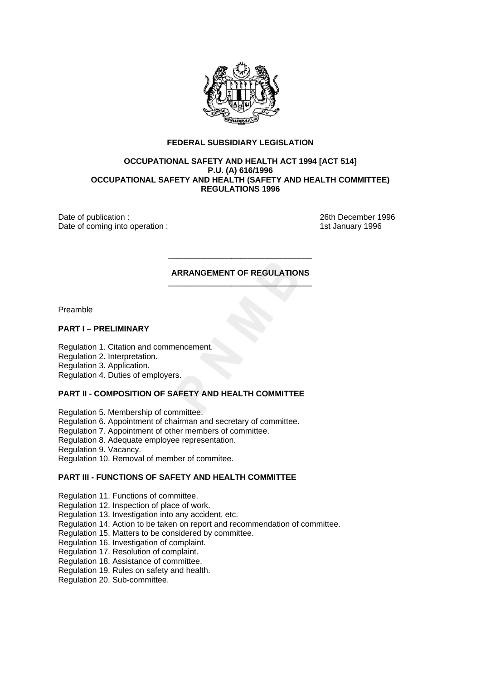

## **FEDERAL SUBSIDIARY LEGISLATION**

## **OCCUPATIONAL SAFETY AND HEALTH ACT 1994 [ACT 514] P.U. (A) 616/1996 OCCUPATIONAL SAFETY AND HEALTH (SAFETY AND HEALTH COMMITTEE) REGULATIONS 1996**

Date of publication : 26th December 1996 Date of coming into operation : 1st January 1996

#### **ARRANGEMENT OF REGULATIONS**  \_\_\_\_\_\_\_\_\_\_\_\_\_\_\_\_\_\_\_\_\_\_\_\_\_\_\_\_\_\_\_\_

\_\_\_\_\_\_\_\_\_\_\_\_\_\_\_\_\_\_\_\_\_\_\_\_\_\_\_\_\_\_\_\_

Preamble

### **PART I – PRELIMINARY**

Regulation 1. Citation and commencement.

Regulation 2. Interpretation.

Regulation 3. Application.

Regulation 4. Duties of employers.

# **PART II - COMPOSITION OF SAFETY AND HEALTH COMMITTEE**

Regulation 5. Membership of committee.

Regulation 6. Appointment of chairman and secretary of committee.

Regulation 7. Appointment of other members of committee.

Regulation 8. Adequate employee representation.

Regulation 9. Vacancy.

Regulation 10. Removal of member of commitee.

## **PART III - FUNCTIONS OF SAFETY AND HEALTH COMMITTEE**

Regulation 11. Functions of committee.

Regulation 12. Inspection of place of work.

Regulation 13. Investigation into any accident, etc.

- Regulation 14. Action to be taken on report and recommendation of committee.
- Regulation 15. Matters to be considered by committee.

Regulation 16. Investigation of complaint.

Regulation 17. Resolution of complaint.

Regulation 18. Assistance of committee.

Regulation 19. Rules on safety and health.

Regulation 20. Sub-committee.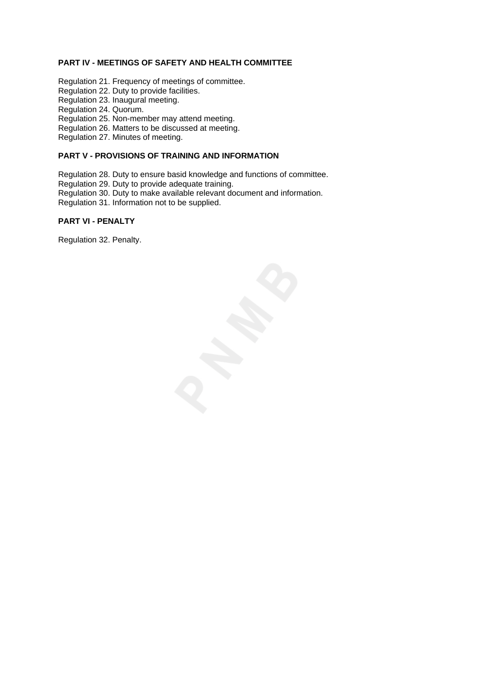# **PART IV - MEETINGS OF SAFETY AND HEALTH COMMITTEE**

- Regulation 21. Frequency of meetings of committee.
- Regulation 22. Duty to provide facilities.
- Regulation 23. Inaugural meeting.
- Regulation 24. Quorum.
- Regulation 25. Non-member may attend meeting.
- Regulation 26. Matters to be discussed at meeting.
- Regulation 27. Minutes of meeting.

# **PART V - PROVISIONS OF TRAINING AND INFORMATION**

Regulation 28. Duty to ensure basid knowledge and functions of committee.

- Regulation 29. Duty to provide adequate training.
- Regulation 30. Duty to make available relevant document and information.
- Regulation 31. Information not to be supplied.

## **PART VI - PENALTY**

Regulation 32. Penalty.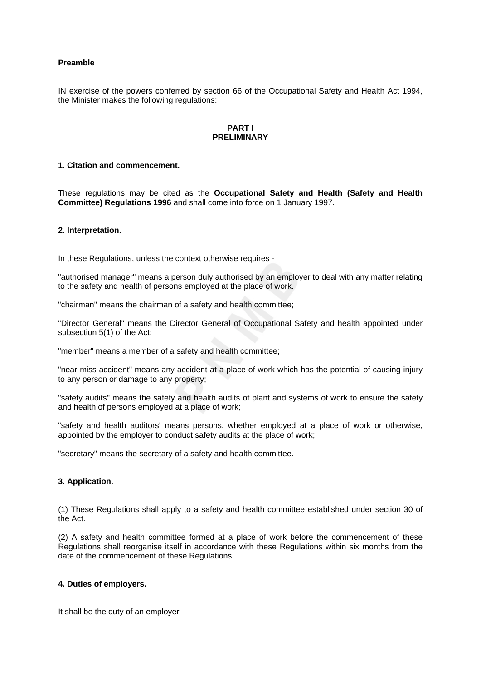# **Preamble**

IN exercise of the powers conferred by section 66 of the Occupational Safety and Health Act 1994, the Minister makes the following regulations:

### **PART I PRELIMINARY**

### **1. Citation and commencement.**

These regulations may be cited as the **Occupational Safety and Health (Safety and Health Committee) Regulations 1996** and shall come into force on 1 January 1997.

### **2. Interpretation.**

In these Regulations, unless the context otherwise requires -

"authorised manager" means a person duly authorised by an employer to deal with any matter relating to the safety and health of persons employed at the place of work.

"chairman" means the chairman of a safety and health committee;

"Director General" means the Director General of Occupational Safety and health appointed under subsection 5(1) of the Act;

"member" means a member of a safety and health committee;

"near-miss accident" means any accident at a place of work which has the potential of causing injury to any person or damage to any property;

"safety audits" means the safety and health audits of plant and systems of work to ensure the safety and health of persons employed at a place of work;

"safety and health auditors' means persons, whether employed at a place of work or otherwise, appointed by the employer to conduct safety audits at the place of work;

"secretary" means the secretary of a safety and health committee.

## **3. Application.**

(1) These Regulations shall apply to a safety and health committee established under section 30 of the Act.

(2) A safety and health committee formed at a place of work before the commencement of these Regulations shall reorganise itself in accordance with these Regulations within six months from the date of the commencement of these Regulations.

### **4. Duties of employers.**

It shall be the duty of an employer -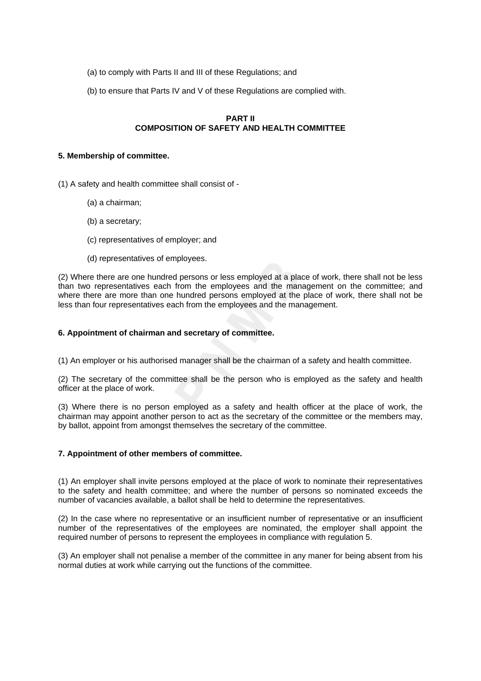- (a) to comply with Parts II and III of these Regulations; and
- (b) to ensure that Parts IV and V of these Regulations are complied with.

# **PART II COMPOSITION OF SAFETY AND HEALTH COMMITTEE**

### **5. Membership of committee.**

(1) A safety and health committee shall consist of -

- (a) a chairman;
- (b) a secretary;
- (c) representatives of employer; and
- (d) representatives of employees.

(2) Where there are one hundred persons or less employed at a place of work, there shall not be less than two representatives each from the employees and the management on the committee; and where there are more than one hundred persons employed at the place of work, there shall not be less than four representatives each from the employees and the management.

## **6. Appointment of chairman and secretary of committee.**

(1) An employer or his authorised manager shall be the chairman of a safety and health committee.

(2) The secretary of the committee shall be the person who is employed as the safety and health officer at the place of work.

(3) Where there is no person employed as a safety and health officer at the place of work, the chairman may appoint another person to act as the secretary of the committee or the members may, by ballot, appoint from amongst themselves the secretary of the committee.

# **7. Appointment of other members of committee.**

(1) An employer shall invite persons employed at the place of work to nominate their representatives to the safety and health committee; and where the number of persons so nominated exceeds the number of vacancies available, a ballot shall be held to determine the representatives.

(2) In the case where no representative or an insufficient number of representative or an insufficient number of the representatives of the employees are nominated, the employer shall appoint the required number of persons to represent the employees in compliance with regulation 5.

(3) An employer shall not penalise a member of the committee in any maner for being absent from his normal duties at work while carrying out the functions of the committee.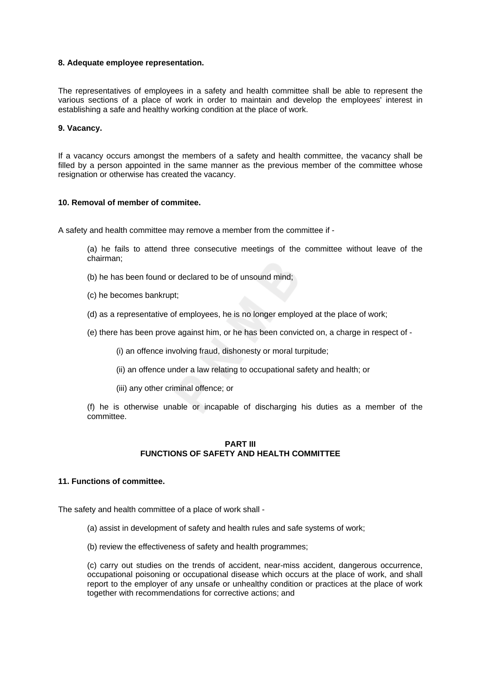### **8. Adequate employee representation.**

The representatives of employees in a safety and health committee shall be able to represent the various sections of a place of work in order to maintain and develop the employees' interest in establishing a safe and healthy working condition at the place of work.

### **9. Vacancy.**

If a vacancy occurs amongst the members of a safety and health committee, the vacancy shall be filled by a person appointed in the same manner as the previous member of the committee whose resignation or otherwise has created the vacancy.

## **10. Removal of member of commitee.**

A safety and health committee may remove a member from the committee if -

(a) he fails to attend three consecutive meetings of the committee without leave of the chairman;

- (b) he has been found or declared to be of unsound mind;
- (c) he becomes bankrupt;
- (d) as a representative of employees, he is no longer employed at the place of work;
- (e) there has been prove against him, or he has been convicted on, a charge in respect of
	- (i) an offence involving fraud, dishonesty or moral turpitude;
	- (ii) an offence under a law relating to occupational safety and health; or
	- (iii) any other criminal offence; or

(f) he is otherwise unable or incapable of discharging his duties as a member of the committee.

# **PART III FUNCTIONS OF SAFETY AND HEALTH COMMITTEE**

### **11. Functions of committee.**

The safety and health committee of a place of work shall -

- (a) assist in development of safety and health rules and safe systems of work;
- (b) review the effectiveness of safety and health programmes;

(c) carry out studies on the trends of accident, near-miss accident, dangerous occurrence, occupational poisoning or occupational disease which occurs at the place of work, and shall report to the employer of any unsafe or unhealthy condition or practices at the place of work together with recommendations for corrective actions; and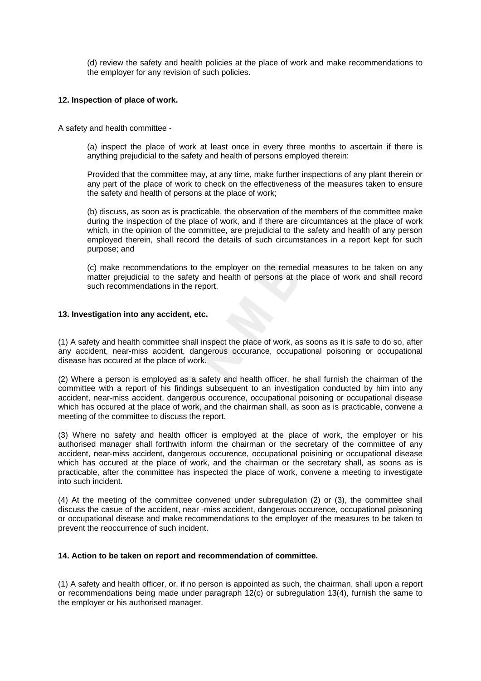(d) review the safety and health policies at the place of work and make recommendations to the employer for any revision of such policies.

### **12. Inspection of place of work.**

A safety and health committee -

(a) inspect the place of work at least once in every three months to ascertain if there is anything prejudicial to the safety and health of persons employed therein:

Provided that the committee may, at any time, make further inspections of any plant therein or any part of the place of work to check on the effectiveness of the measures taken to ensure the safety and health of persons at the place of work;

(b) discuss, as soon as is practicable, the observation of the members of the committee make during the inspection of the place of work, and if there are circumtances at the place of work which, in the opinion of the committee, are prejudicial to the safety and health of any person employed therein, shall record the details of such circumstances in a report kept for such purpose; and

(c) make recommendations to the employer on the remedial measures to be taken on any matter prejudicial to the safety and health of persons at the place of work and shall record such recommendations in the report.

## **13. Investigation into any accident, etc.**

(1) A safety and health committee shall inspect the place of work, as soons as it is safe to do so, after any accident, near-miss accident, dangerous occurance, occupational poisoning or occupational disease has occured at the place of work.

(2) Where a person is employed as a safety and health officer, he shall furnish the chairman of the committee with a report of his findings subsequent to an investigation conducted by him into any accident, near-miss accident, dangerous occurence, occupational poisoning or occupational disease which has occured at the place of work, and the chairman shall, as soon as is practicable, convene a meeting of the committee to discuss the report.

(3) Where no safety and health officer is employed at the place of work, the employer or his authorised manager shall forthwith inform the chairman or the secretary of the committee of any accident, near-miss accident, dangerous occurence, occupational poisining or occupational disease which has occured at the place of work, and the chairman or the secretary shall, as soons as is practicable, after the committee has inspected the place of work, convene a meeting to investigate into such incident.

(4) At the meeting of the committee convened under subregulation (2) or (3), the committee shall discuss the casue of the accident, near -miss accident, dangerous occurence, occupational poisoning or occupational disease and make recommendations to the employer of the measures to be taken to prevent the reoccurrence of such incident.

### **14. Action to be taken on report and recommendation of committee.**

(1) A safety and health officer, or, if no person is appointed as such, the chairman, shall upon a report or recommendations being made under paragraph 12(c) or subregulation 13(4), furnish the same to the employer or his authorised manager.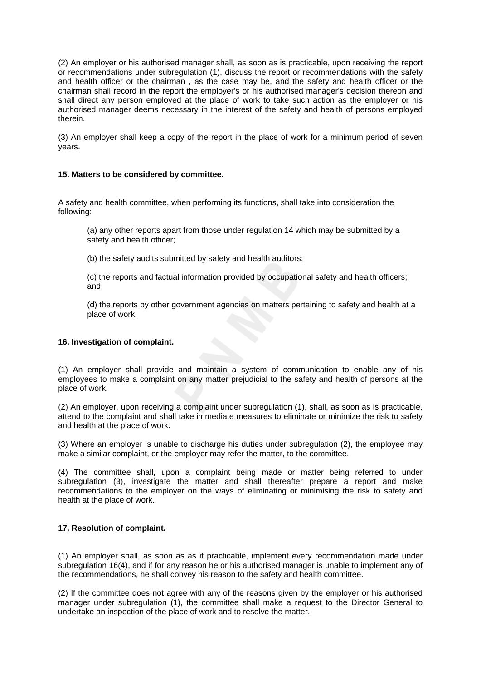(2) An employer or his authorised manager shall, as soon as is practicable, upon receiving the report or recommendations under subregulation (1), discuss the report or recommendations with the safety and health officer or the chairman , as the case may be, and the safety and health officer or the chairman shall record in the report the employer's or his authorised manager's decision thereon and shall direct any person employed at the place of work to take such action as the employer or his authorised manager deems necessary in the interest of the safety and health of persons employed therein.

(3) An employer shall keep a copy of the report in the place of work for a minimum period of seven years.

## **15. Matters to be considered by committee.**

A safety and health committee, when performing its functions, shall take into consideration the following:

(a) any other reports apart from those under regulation 14 which may be submitted by a safety and health officer;

(b) the safety audits submitted by safety and health auditors;

(c) the reports and factual information provided by occupational safety and health officers; and

(d) the reports by other government agencies on matters pertaining to safety and health at a place of work.

### **16. Investigation of complaint.**

(1) An employer shall provide and maintain a system of communication to enable any of his employees to make a complaint on any matter prejudicial to the safety and health of persons at the place of work.

(2) An employer, upon receiving a complaint under subregulation (1), shall, as soon as is practicable, attend to the complaint and shall take immediate measures to eliminate or minimize the risk to safety and health at the place of work.

(3) Where an employer is unable to discharge his duties under subregulation (2), the employee may make a similar complaint, or the employer may refer the matter, to the committee.

(4) The committee shall, upon a complaint being made or matter being referred to under subregulation (3), investigate the matter and shall thereafter prepare a report and make recommendations to the employer on the ways of eliminating or minimising the risk to safety and health at the place of work.

# **17. Resolution of complaint.**

(1) An employer shall, as soon as as it practicable, implement every recommendation made under subregulation 16(4), and if for any reason he or his authorised manager is unable to implement any of the recommendations, he shall convey his reason to the safety and health committee.

(2) If the committee does not agree with any of the reasons given by the employer or his authorised manager under subregulation (1), the committee shall make a request to the Director General to undertake an inspection of the place of work and to resolve the matter.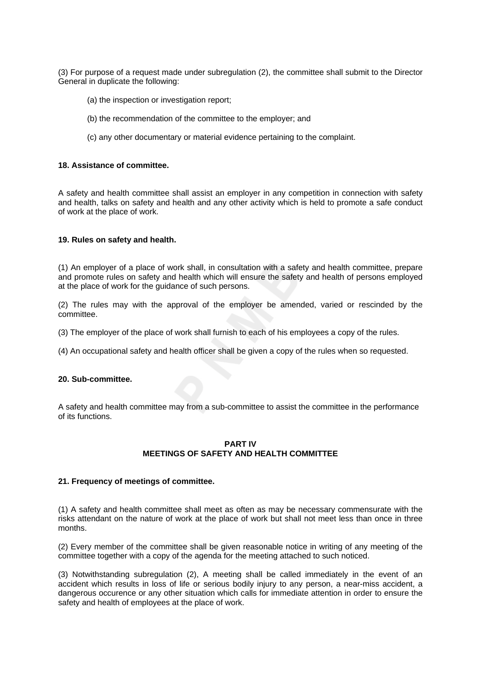(3) For purpose of a request made under subregulation (2), the committee shall submit to the Director General in duplicate the following:

- (a) the inspection or investigation report;
- (b) the recommendation of the committee to the employer; and
- (c) any other documentary or material evidence pertaining to the complaint.

#### **18. Assistance of committee.**

A safety and health committee shall assist an employer in any competition in connection with safety and health, talks on safety and health and any other activity which is held to promote a safe conduct of work at the place of work.

#### **19. Rules on safety and health.**

(1) An employer of a place of work shall, in consultation with a safety and health committee, prepare and promote rules on safety and health which will ensure the safety and health of persons employed at the place of work for the guidance of such persons.

(2) The rules may with the approval of the employer be amended, varied or rescinded by the committee.

- (3) The employer of the place of work shall furnish to each of his employees a copy of the rules.
- (4) An occupational safety and health officer shall be given a copy of the rules when so requested.

#### **20. Sub-committee.**

A safety and health committee may from a sub-committee to assist the committee in the performance of its functions.

## **PART IV MEETINGS OF SAFETY AND HEALTH COMMITTEE**

### **21. Frequency of meetings of committee.**

(1) A safety and health committee shall meet as often as may be necessary commensurate with the risks attendant on the nature of work at the place of work but shall not meet less than once in three months.

(2) Every member of the committee shall be given reasonable notice in writing of any meeting of the committee together with a copy of the agenda for the meeting attached to such noticed.

(3) Notwithstanding subregulation (2), A meeting shall be called immediately in the event of an accident which results in loss of life or serious bodily injury to any person, a near-miss accident, a dangerous occurence or any other situation which calls for immediate attention in order to ensure the safety and health of employees at the place of work.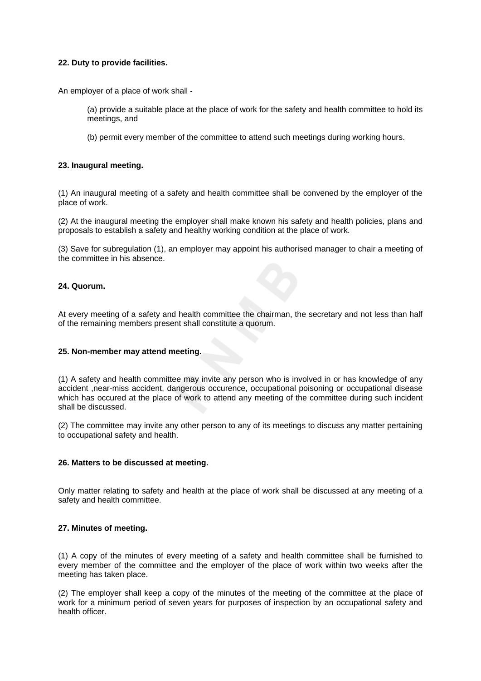# **22. Duty to provide facilities.**

An employer of a place of work shall -

- (a) provide a suitable place at the place of work for the safety and health committee to hold its meetings, and
- (b) permit every member of the committee to attend such meetings during working hours.

# **23. Inaugural meeting.**

(1) An inaugural meeting of a safety and health committee shall be convened by the employer of the place of work.

(2) At the inaugural meeting the employer shall make known his safety and health policies, plans and proposals to establish a safety and healthy working condition at the place of work.

(3) Save for subregulation (1), an employer may appoint his authorised manager to chair a meeting of the committee in his absence.

# **24. Quorum.**

At every meeting of a safety and health committee the chairman, the secretary and not less than half of the remaining members present shall constitute a quorum.

# **25. Non-member may attend meeting.**

(1) A safety and health committee may invite any person who is involved in or has knowledge of any accident ,near-miss accident, dangerous occurence, occupational poisoning or occupational disease which has occured at the place of work to attend any meeting of the committee during such incident shall be discussed.

(2) The committee may invite any other person to any of its meetings to discuss any matter pertaining to occupational safety and health.

# **26. Matters to be discussed at meeting.**

Only matter relating to safety and health at the place of work shall be discussed at any meeting of a safety and health committee.

# **27. Minutes of meeting.**

(1) A copy of the minutes of every meeting of a safety and health committee shall be furnished to every member of the committee and the employer of the place of work within two weeks after the meeting has taken place.

(2) The employer shall keep a copy of the minutes of the meeting of the committee at the place of work for a minimum period of seven years for purposes of inspection by an occupational safety and health officer.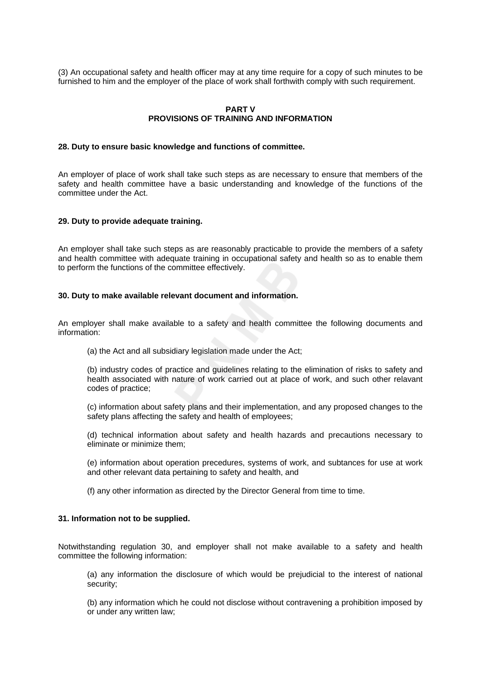(3) An occupational safety and health officer may at any time require for a copy of such minutes to be furnished to him and the employer of the place of work shall forthwith comply with such requirement.

### **PART V PROVISIONS OF TRAINING AND INFORMATION**

#### **28. Duty to ensure basic knowledge and functions of committee.**

An employer of place of work shall take such steps as are necessary to ensure that members of the safety and health committee have a basic understanding and knowledge of the functions of the committee under the Act.

#### **29. Duty to provide adequate training.**

An employer shall take such steps as are reasonably practicable to provide the members of a safety and health committee with adequate training in occupational safety and health so as to enable them to perform the functions of the committee effectively.

#### **30. Duty to make available relevant document and information.**

An employer shall make available to a safety and health committee the following documents and information:

(a) the Act and all subsidiary legislation made under the Act;

(b) industry codes of practice and guidelines relating to the elimination of risks to safety and health associated with nature of work carried out at place of work, and such other relavant codes of practice;

(c) information about safety plans and their implementation, and any proposed changes to the safety plans affecting the safety and health of employees;

(d) technical information about safety and health hazards and precautions necessary to eliminate or minimize them;

(e) information about operation precedures, systems of work, and subtances for use at work and other relevant data pertaining to safety and health, and

(f) any other information as directed by the Director General from time to time.

### **31. Information not to be supplied.**

Notwithstanding regulation 30, and employer shall not make available to a safety and health committee the following information:

(a) any information the disclosure of which would be prejudicial to the interest of national security;

(b) any information which he could not disclose without contravening a prohibition imposed by or under any written law;